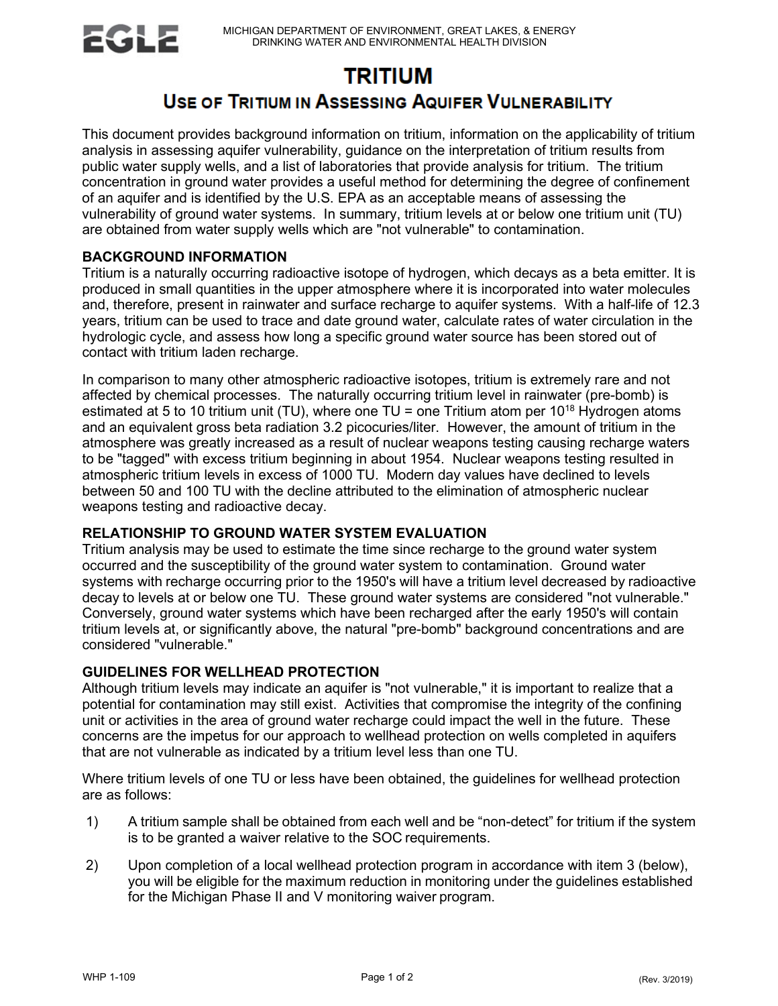

# **TRITIUM**

## **USE OF TRITIUM IN ASSESSING AQUIFER VULNERABILITY**

This document provides background information on tritium, information on the applicability of tritium analysis in assessing aquifer vulnerability, guidance on the interpretation of tritium results from public water supply wells, and a list of laboratories that provide analysis for tritium. The tritium concentration in ground water provides a useful method for determining the degree of confinement of an aquifer and is identified by the U.S. EPA as an acceptable means of assessing the vulnerability of ground water systems. In summary, tritium levels at or below one tritium unit (TU) are obtained from water supply wells which are "not vulnerable" to contamination.

### **BACKGROUND INFORMATION**

Tritium is a naturally occurring radioactive isotope of hydrogen, which decays as a beta emitter. It is produced in small quantities in the upper atmosphere where it is incorporated into water molecules and, therefore, present in rainwater and surface recharge to aquifer systems. With a half-life of 12.3 years, tritium can be used to trace and date ground water, calculate rates of water circulation in the hydrologic cycle, and assess how long a specific ground water source has been stored out of contact with tritium laden recharge.

In comparison to many other atmospheric radioactive isotopes, tritium is extremely rare and not affected by chemical processes. The naturally occurring tritium level in rainwater (pre-bomb) is estimated at 5 to 10 tritium unit (TU), where one TU = one Tritium atom per  $10^{18}$  Hydrogen atoms and an equivalent gross beta radiation 3.2 picocuries/liter. However, the amount of tritium in the atmosphere was greatly increased as a result of nuclear weapons testing causing recharge waters to be "tagged" with excess tritium beginning in about 1954. Nuclear weapons testing resulted in atmospheric tritium levels in excess of 1000 TU. Modern day values have declined to levels between 50 and 100 TU with the decline attributed to the elimination of atmospheric nuclear weapons testing and radioactive decay.

### **RELATIONSHIP TO GROUND WATER SYSTEM EVALUATION**

Tritium analysis may be used to estimate the time since recharge to the ground water system occurred and the susceptibility of the ground water system to contamination. Ground water systems with recharge occurring prior to the 1950's will have a tritium level decreased by radioactive decay to levels at or below one TU. These ground water systems are considered "not vulnerable." Conversely, ground water systems which have been recharged after the early 1950's will contain tritium levels at, or significantly above, the natural "pre-bomb" background concentrations and are considered "vulnerable."

#### **GUIDELINES FOR WELLHEAD PROTECTION**

Although tritium levels may indicate an aquifer is "not vulnerable," it is important to realize that a potential for contamination may still exist. Activities that compromise the integrity of the confining unit or activities in the area of ground water recharge could impact the well in the future. These concerns are the impetus for our approach to wellhead protection on wells completed in aquifers that are not vulnerable as indicated by a tritium level less than one TU.

Where tritium levels of one TU or less have been obtained, the guidelines for wellhead protection are as follows:

- 1) A tritium sample shall be obtained from each well and be "non-detect" for tritium if the system is to be granted a waiver relative to the SOC requirements.
- 2) Upon completion of a local wellhead protection program in accordance with item 3 (below), you will be eligible for the maximum reduction in monitoring under the guidelines established for the Michigan Phase II and V monitoring waiver program.